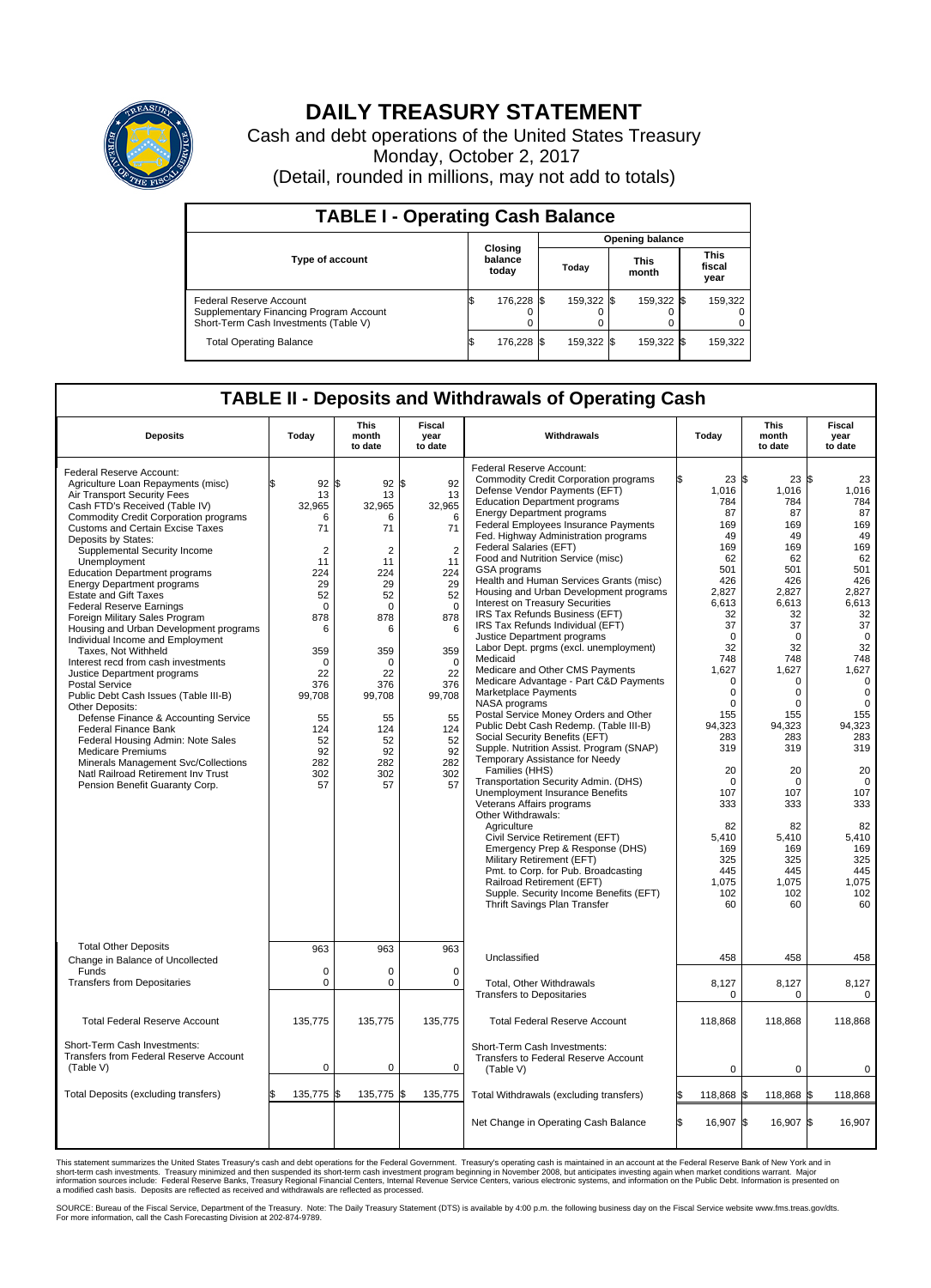

## **DAILY TREASURY STATEMENT**

Cash and debt operations of the United States Treasury Monday, October 2, 2017 (Detail, rounded in millions, may not add to totals)

| <b>TABLE I - Operating Cash Balance</b>                                                                     |    |                             |                        |            |  |                      |  |                               |  |  |
|-------------------------------------------------------------------------------------------------------------|----|-----------------------------|------------------------|------------|--|----------------------|--|-------------------------------|--|--|
|                                                                                                             |    |                             | <b>Opening balance</b> |            |  |                      |  |                               |  |  |
| <b>Type of account</b>                                                                                      |    | Closing<br>balance<br>today |                        | Today      |  | <b>This</b><br>month |  | <b>This</b><br>fiscal<br>year |  |  |
| Federal Reserve Account<br>Supplementary Financing Program Account<br>Short-Term Cash Investments (Table V) |    | 176,228 \$                  |                        | 159,322 \$ |  | 159,322 \$           |  | 159,322                       |  |  |
| <b>Total Operating Balance</b>                                                                              | ß. | 176,228 \$                  |                        | 159,322 \$ |  | 159,322 \$           |  | 159,322                       |  |  |

## **TABLE II - Deposits and Withdrawals of Operating Cash**

| <b>Deposits</b>                                                                                                                                                                                                                                                                                                                                                                                                                                                                                                                                                                                                                                                                                                                                                                                                                                                                                                                                                                                     | Today                                                                                                                                                                                             | This<br>month<br>to date                                                                                                                                                                           | Fiscal<br>year<br>to date                                                                                                                                                                  | Withdrawals                                                                                                                                                                                                                                                                                                                                                                                                                                                                                                                                                                                                                                                                                                                                                                                                                                                                                                                                                                                                                                                                                                                                                                                                                                                                                                                                                                                    | Today   |                                                                                                                                                                                                                                                                                                                         | <b>This</b><br>month<br>to date                                                                                                                                                                                                                                                               | Fiscal<br>year<br>to date                                                                                                                                                                                                                                                                                 |
|-----------------------------------------------------------------------------------------------------------------------------------------------------------------------------------------------------------------------------------------------------------------------------------------------------------------------------------------------------------------------------------------------------------------------------------------------------------------------------------------------------------------------------------------------------------------------------------------------------------------------------------------------------------------------------------------------------------------------------------------------------------------------------------------------------------------------------------------------------------------------------------------------------------------------------------------------------------------------------------------------------|---------------------------------------------------------------------------------------------------------------------------------------------------------------------------------------------------|----------------------------------------------------------------------------------------------------------------------------------------------------------------------------------------------------|--------------------------------------------------------------------------------------------------------------------------------------------------------------------------------------------|------------------------------------------------------------------------------------------------------------------------------------------------------------------------------------------------------------------------------------------------------------------------------------------------------------------------------------------------------------------------------------------------------------------------------------------------------------------------------------------------------------------------------------------------------------------------------------------------------------------------------------------------------------------------------------------------------------------------------------------------------------------------------------------------------------------------------------------------------------------------------------------------------------------------------------------------------------------------------------------------------------------------------------------------------------------------------------------------------------------------------------------------------------------------------------------------------------------------------------------------------------------------------------------------------------------------------------------------------------------------------------------------|---------|-------------------------------------------------------------------------------------------------------------------------------------------------------------------------------------------------------------------------------------------------------------------------------------------------------------------------|-----------------------------------------------------------------------------------------------------------------------------------------------------------------------------------------------------------------------------------------------------------------------------------------------|-----------------------------------------------------------------------------------------------------------------------------------------------------------------------------------------------------------------------------------------------------------------------------------------------------------|
| Federal Reserve Account:<br>Agriculture Loan Repayments (misc)<br>Air Transport Security Fees<br>Cash FTD's Received (Table IV)<br><b>Commodity Credit Corporation programs</b><br><b>Customs and Certain Excise Taxes</b><br>Deposits by States:<br>Supplemental Security Income<br>Unemployment<br><b>Education Department programs</b><br><b>Energy Department programs</b><br><b>Estate and Gift Taxes</b><br><b>Federal Reserve Earnings</b><br>Foreign Military Sales Program<br>Housing and Urban Development programs<br>Individual Income and Employment<br>Taxes, Not Withheld<br>Interest recd from cash investments<br>Justice Department programs<br><b>Postal Service</b><br>Public Debt Cash Issues (Table III-B)<br>Other Deposits:<br>Defense Finance & Accounting Service<br>Federal Finance Bank<br>Federal Housing Admin: Note Sales<br><b>Medicare Premiums</b><br>Minerals Management Svc/Collections<br>Natl Railroad Retirement Inv Trust<br>Pension Benefit Guaranty Corp. | 92<br>\$.<br>13<br>32,965<br>6<br>71<br>$\overline{2}$<br>11<br>224<br>29<br>52<br>$\Omega$<br>878<br>6<br>359<br>$\mathbf 0$<br>22<br>376<br>99,708<br>55<br>124<br>52<br>92<br>282<br>302<br>57 | l\$<br>92S<br>13<br>32,965<br>6<br>71<br>$\overline{2}$<br>11<br>224<br>29<br>52<br>$\Omega$<br>878<br>6<br>359<br>$\mathbf 0$<br>22<br>376<br>99,708<br>55<br>124<br>52<br>92<br>282<br>302<br>57 | 92<br>13<br>32,965<br>6<br>71<br>$\overline{2}$<br>11<br>224<br>29<br>52<br>$\Omega$<br>878<br>6<br>359<br>$\mathbf 0$<br>22<br>376<br>99,708<br>55<br>124<br>52<br>92<br>282<br>302<br>57 | Federal Reserve Account:<br><b>Commodity Credit Corporation programs</b><br>Defense Vendor Payments (EFT)<br><b>Education Department programs</b><br><b>Energy Department programs</b><br><b>Federal Employees Insurance Payments</b><br>Fed. Highway Administration programs<br>Federal Salaries (EFT)<br>Food and Nutrition Service (misc)<br>GSA programs<br>Health and Human Services Grants (misc)<br>Housing and Urban Development programs<br>Interest on Treasury Securities<br>IRS Tax Refunds Business (EFT)<br>IRS Tax Refunds Individual (EFT)<br>Justice Department programs<br>Labor Dept. prgms (excl. unemployment)<br>Medicaid<br>Medicare and Other CMS Payments<br>Medicare Advantage - Part C&D Payments<br><b>Marketplace Payments</b><br>NASA programs<br>Postal Service Money Orders and Other<br>Public Debt Cash Redemp. (Table III-B)<br>Social Security Benefits (EFT)<br>Supple. Nutrition Assist. Program (SNAP)<br>Temporary Assistance for Needy<br>Families (HHS)<br>Transportation Security Admin. (DHS)<br>Unemployment Insurance Benefits<br>Veterans Affairs programs<br>Other Withdrawals:<br>Agriculture<br>Civil Service Retirement (EFT)<br>Emergency Prep & Response (DHS)<br>Military Retirement (EFT)<br>Pmt. to Corp. for Pub. Broadcasting<br>Railroad Retirement (EFT)<br>Supple. Security Income Benefits (EFT)<br>Thrift Savings Plan Transfer |         | $23 \text{ }$ \$<br>1,016<br>784<br>87<br>169<br>49<br>169<br>62<br>501<br>426<br>2,827<br>6,613<br>32<br>37<br>$\mathbf 0$<br>32<br>748<br>1,627<br>$\mathbf 0$<br>$\mathbf 0$<br>$\Omega$<br>155<br>94.323<br>283<br>319<br>20<br>$\mathbf 0$<br>107<br>333<br>82<br>5,410<br>169<br>325<br>445<br>1,075<br>102<br>60 | $23 \,$ \$<br>1,016<br>784<br>87<br>169<br>49<br>169<br>62<br>501<br>426<br>2,827<br>6,613<br>32<br>37<br>$\mathbf 0$<br>32<br>748<br>1,627<br>0<br>0<br>$\Omega$<br>155<br>94.323<br>283<br>319<br>20<br>$\mathbf 0$<br>107<br>333<br>82<br>5,410<br>169<br>325<br>445<br>1,075<br>102<br>60 | 23<br>1,016<br>784<br>87<br>169<br>49<br>169<br>62<br>501<br>426<br>2,827<br>6,613<br>32<br>37<br>$\mathbf 0$<br>32<br>748<br>1,627<br>$\mathbf 0$<br>$\mathbf 0$<br>$\Omega$<br>155<br>94,323<br>283<br>319<br>20<br>$\mathbf 0$<br>107<br>333<br>82<br>5,410<br>169<br>325<br>445<br>1,075<br>102<br>60 |
| <b>Total Other Deposits</b><br>Change in Balance of Uncollected                                                                                                                                                                                                                                                                                                                                                                                                                                                                                                                                                                                                                                                                                                                                                                                                                                                                                                                                     | 963                                                                                                                                                                                               | 963                                                                                                                                                                                                | 963                                                                                                                                                                                        | Unclassified                                                                                                                                                                                                                                                                                                                                                                                                                                                                                                                                                                                                                                                                                                                                                                                                                                                                                                                                                                                                                                                                                                                                                                                                                                                                                                                                                                                   |         | 458                                                                                                                                                                                                                                                                                                                     | 458                                                                                                                                                                                                                                                                                           | 458                                                                                                                                                                                                                                                                                                       |
| Funds<br><b>Transfers from Depositaries</b>                                                                                                                                                                                                                                                                                                                                                                                                                                                                                                                                                                                                                                                                                                                                                                                                                                                                                                                                                         | $\mathbf 0$<br>$\mathbf 0$                                                                                                                                                                        | $\Omega$<br>0                                                                                                                                                                                      | $\Omega$<br>$\mathbf 0$                                                                                                                                                                    | Total, Other Withdrawals<br><b>Transfers to Depositaries</b>                                                                                                                                                                                                                                                                                                                                                                                                                                                                                                                                                                                                                                                                                                                                                                                                                                                                                                                                                                                                                                                                                                                                                                                                                                                                                                                                   |         | 8,127<br>0                                                                                                                                                                                                                                                                                                              | 8,127<br>0                                                                                                                                                                                                                                                                                    | 8,127<br>0                                                                                                                                                                                                                                                                                                |
| <b>Total Federal Reserve Account</b>                                                                                                                                                                                                                                                                                                                                                                                                                                                                                                                                                                                                                                                                                                                                                                                                                                                                                                                                                                | 135,775                                                                                                                                                                                           | 135,775                                                                                                                                                                                            | 135,775                                                                                                                                                                                    | <b>Total Federal Reserve Account</b>                                                                                                                                                                                                                                                                                                                                                                                                                                                                                                                                                                                                                                                                                                                                                                                                                                                                                                                                                                                                                                                                                                                                                                                                                                                                                                                                                           | 118,868 |                                                                                                                                                                                                                                                                                                                         | 118,868                                                                                                                                                                                                                                                                                       | 118,868                                                                                                                                                                                                                                                                                                   |
| Short-Term Cash Investments:<br>Transfers from Federal Reserve Account<br>(Table V)                                                                                                                                                                                                                                                                                                                                                                                                                                                                                                                                                                                                                                                                                                                                                                                                                                                                                                                 | $\mathbf 0$                                                                                                                                                                                       | 0                                                                                                                                                                                                  | 0                                                                                                                                                                                          | Short-Term Cash Investments:<br>Transfers to Federal Reserve Account<br>(Table V)                                                                                                                                                                                                                                                                                                                                                                                                                                                                                                                                                                                                                                                                                                                                                                                                                                                                                                                                                                                                                                                                                                                                                                                                                                                                                                              |         | $\mathbf 0$                                                                                                                                                                                                                                                                                                             | $\mathbf 0$                                                                                                                                                                                                                                                                                   | 0                                                                                                                                                                                                                                                                                                         |
| Total Deposits (excluding transfers)                                                                                                                                                                                                                                                                                                                                                                                                                                                                                                                                                                                                                                                                                                                                                                                                                                                                                                                                                                | 135,775                                                                                                                                                                                           | l\$<br>135,775 \$                                                                                                                                                                                  | 135,775                                                                                                                                                                                    | Total Withdrawals (excluding transfers)                                                                                                                                                                                                                                                                                                                                                                                                                                                                                                                                                                                                                                                                                                                                                                                                                                                                                                                                                                                                                                                                                                                                                                                                                                                                                                                                                        |         | 118,868 \$                                                                                                                                                                                                                                                                                                              | 118,868 \$                                                                                                                                                                                                                                                                                    | 118,868                                                                                                                                                                                                                                                                                                   |
|                                                                                                                                                                                                                                                                                                                                                                                                                                                                                                                                                                                                                                                                                                                                                                                                                                                                                                                                                                                                     |                                                                                                                                                                                                   |                                                                                                                                                                                                    |                                                                                                                                                                                            | Net Change in Operating Cash Balance                                                                                                                                                                                                                                                                                                                                                                                                                                                                                                                                                                                                                                                                                                                                                                                                                                                                                                                                                                                                                                                                                                                                                                                                                                                                                                                                                           | l\$     | 16,907 \$                                                                                                                                                                                                                                                                                                               | 16,907 \$                                                                                                                                                                                                                                                                                     | 16,907                                                                                                                                                                                                                                                                                                    |

This statement summarizes the United States Treasury's cash and debt operations for the Federal Government. Treasury's operating cash is maintained in an account at the Federal Reserve Bank of New York and in<br>informetion s

SOURCE: Bureau of the Fiscal Service, Department of the Treasury. Note: The Daily Treasury Statement (DTS) is available by 4:00 p.m. the following business day on the Fiscal Service website www.fms.treas.gov/dts.<br>For more